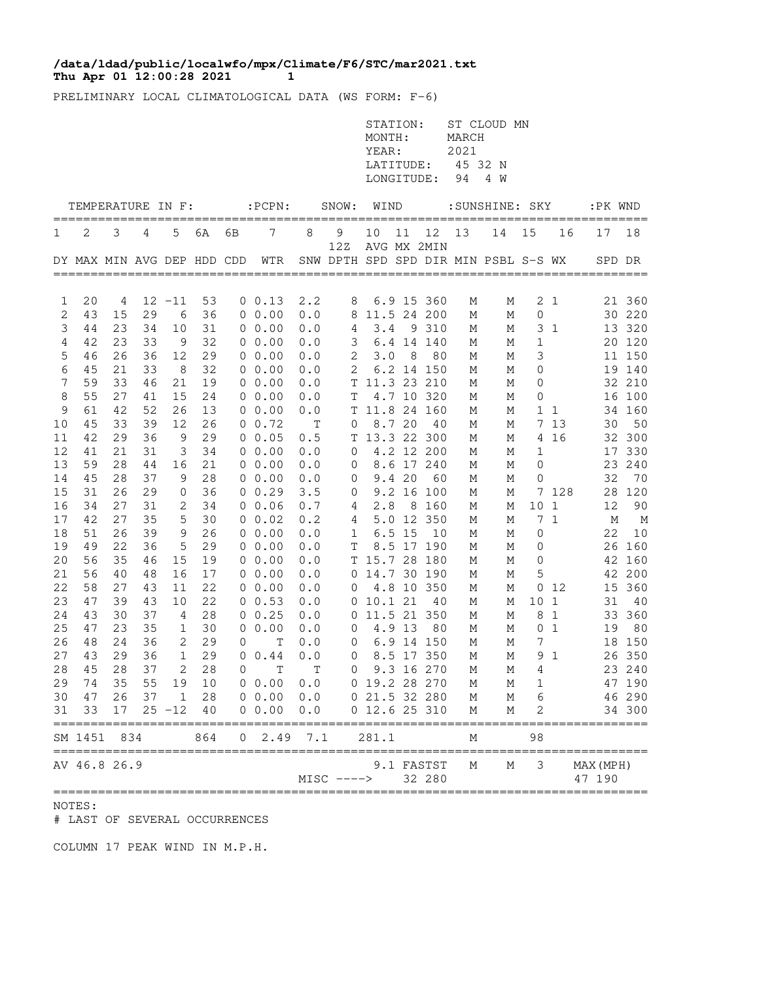## **Thu Apr 01 12:00:28 2021 11 /data/ldad/public/localwfo/mpx/Climate/F6/STC/mar2021.txt**

PRELIMINARY LOCAL CLIMATOLOGICAL DATA (WS FORM: F-6)

|                |                             |         |          |                   |          |              |                                |             |                                  | STATION:<br>MONTH:<br>YEAR:<br>LATITUDE:<br>LONGITUDE: |          |                      | MARCH<br>2021<br>45 32 N<br>94 | ST CLOUD MN<br>4 W                   |              |                 |                     |                  |
|----------------|-----------------------------|---------|----------|-------------------|----------|--------------|--------------------------------|-------------|----------------------------------|--------------------------------------------------------|----------|----------------------|--------------------------------|--------------------------------------|--------------|-----------------|---------------------|------------------|
|                | TEMPERATURE IN F:           |         |          |                   |          |              | $:$ PCPN $:$                   |             | SNOW:                            | WIND                                                   |          |                      |                                | :SUNSHINE: SKY                       |              |                 | :PK WND             |                  |
| 1              | 2                           | 3       | 4        | 5                 | 6A       | 6В           | 7                              | 8           | 9                                | 10                                                     | 11       | 12                   | 13                             | 14                                   | 15           | 16              | 17                  | 18               |
|                |                             |         |          |                   |          |              | DY MAX MIN AVG DEP HDD CDD WTR |             | 12Z                              |                                                        |          | AVG MX 2MIN          |                                | SNW DPTH SPD SPD DIR MIN PSBL S-S WX |              |                 |                     | SPD DR           |
|                |                             |         |          |                   |          |              |                                |             |                                  |                                                        |          |                      |                                |                                      |              |                 |                     |                  |
| 1<br>2         | 20<br>43                    | 4<br>15 | 29       | $12 - 11$<br>6    | 53<br>36 |              | $0 \t 0.13$<br>$0\;\;0.00$     | 2.2<br>0.0  | 8                                | 8 11.5 24 200                                          |          | 6.9 15 360           | М<br>М                         | М<br>М                               | 0            | 2 <sub>1</sub>  |                     | 21 360<br>30 220 |
| 3              | 44                          | 23      | 34       | 10                | 31       |              | $0\;\;0.00$                    | 0.0         | 4                                | 3.4                                                    |          | 9 310                | М                              | М                                    |              | 3 <sub>1</sub>  |                     | 13 320           |
| $\overline{4}$ | 42                          | 23      | 33       | - 9               | 32       |              | $0\;\;0.00$                    | 0.0         | 3                                |                                                        |          | 6.4 14 140           | М                              | М                                    | $\mathbf{1}$ |                 |                     | 20 120           |
| 5              | 46                          | 26      | 36       | 12                | 29       |              | $0\;\;0.00$                    | 0.0         | 2                                | 3.0                                                    | - 8      | - 80                 | М                              | М                                    | 3            |                 |                     | 11 150           |
| 6              | 45                          | 21      | 33       | 8                 | 32       |              | 0, 0.00                        | 0.0         | 2                                |                                                        |          | 6.2 14 150           | М                              | М                                    | 0            |                 |                     | 19 140           |
| 7              | 59                          | 33      | 46       | 21                | 19       |              | $0\;\;0.00$                    | 0.0         |                                  | T 11.3 23 210                                          |          |                      | М                              | М                                    | 0            |                 |                     | 32 210           |
| 8              | 55                          | 27      | 41       | 15                | 24       |              | $0\;\;0.00$                    | 0.0         | Т                                |                                                        |          | 4.7 10 320           | М                              | М                                    | 0            |                 |                     | 16 100           |
| 9              | 61                          | 42      | 52       | 26                | 13       |              | 00.00                          | 0.0         |                                  | T 11.8 24 160                                          |          |                      | М                              | М                                    |              | 11              |                     | 34 160           |
| $10$           | 45                          | 33      | 39       | 12                | 26       |              | $0 \t 0.72$                    | $\mathbf T$ | 0                                |                                                        | 8.7 20   | - 40                 | М                              | М                                    |              | 7 13            | 30                  | 50               |
| 11             | 42                          | 29      | 36       | 9                 | 29       |              | $0\;\;0.05$                    | 0.5         |                                  | T 13.3 22 300                                          |          |                      | М                              | М                                    |              | 4 16            |                     | 32 300           |
| 12             | 41                          | 21      | 31       | 3                 | 34       |              | $0\;\;0.00$                    | 0.0         | 0                                |                                                        |          | 4.2 12 200           | М                              | М                                    | 1            |                 |                     | 17 330           |
| 13             | 59                          | 28      | 44       |                   | 21       |              | $0\;\;0.00$                    | 0.0         | $\mathbf 0$                      |                                                        |          | 8.6 17 240           | М                              | М                                    | 0            |                 |                     | 23 240           |
| 14             | 45                          | 28      | 37       | 16<br>9           | 28       |              | $0\;\;0.00$                    | 0.0         | $\mathbf 0$                      |                                                        | 9.420    | 60                   | М                              | М                                    | 0            |                 | 32                  | 70               |
| 15             | 31                          | 26      | 29       | $\mathbf 0$       | 36       |              | 0 0.29                         | 3.5         |                                  |                                                        |          | 9.2 16 100           | М                              | М                                    |              | 7 128           |                     | 28 120           |
| 16             | 34                          | 27      | 31       | 2                 | 34       |              | $0\;\;0.06$                    | 0.7         | 0<br>4                           | 2.8                                                    |          | 8 160                | М                              | М                                    | 10           | $\mathbf{1}$    | $12 \overline{ }$   | 90               |
| 17             | 42                          | 27      | 35       | 5                 | 30       |              | $0\;\;0.02$                    | 0.2         | 4                                |                                                        |          | 5.0 12 350           | М                              | М                                    |              | 7 <sub>1</sub>  | М                   | M                |
| 18             | 51                          | 26      | 39       | 9                 | 26       |              | $0\;\;0.00$                    | 0.0         | $\mathbf{1}$                     |                                                        | $6.5$ 15 | 10                   | М                              | М                                    | 0            |                 | 22                  | 10               |
| 19             | 49                          | 22      | 36       | 5                 | 29       |              | $0\;\;0.00$                    | 0.0         | Τ                                |                                                        |          | 8.5 17 190           | М                              | М                                    | 0            |                 |                     | 26 160           |
| 20             | 56                          | 35      | 46       | 15                | 19       |              | $0\;\;0.00$                    | 0.0         |                                  | T 15.7 28 180                                          |          |                      | М                              | М                                    | 0            |                 |                     | 42 160           |
|                | 56                          | 40      | 48       | 16                | 17       |              | $0\;\;0.00$                    |             |                                  |                                                        |          |                      |                                |                                      |              |                 |                     | 42 200           |
| 21             | 58                          | 27      | 43       |                   | 22       |              |                                | 0.0         |                                  | 0 14.7 30 190                                          |          |                      | М                              | М                                    | 5            | 0 <sub>12</sub> |                     | 360              |
| 22<br>23       | 47                          | 39      | 43       | 11<br>10          | 22       |              | $0\;\;0.00$<br>0 0.53          | 0.0<br>0.0  | $\mathbf{0}$                     | 0 10.1 21                                              |          | 4.8 10 350<br>- 40   | М                              | М                                    | 101          |                 | 15<br>31            | - 40             |
|                | 43                          | 30      |          |                   |          |              | $0 \t 0.25$                    |             |                                  | 0 11.5 21 350                                          |          |                      | М                              | М                                    |              | 8 1             |                     |                  |
| 24<br>25       | 47                          | 23      | 37<br>35 | 4<br>$\mathbf{1}$ | 28<br>30 |              | 0 0.00                         | 0.0<br>0.0  |                                  |                                                        | 4.9 13   | 80                   | М                              | М                                    |              | 0 <sub>1</sub>  | 19                  | 33 360<br>80     |
| 26             | 48                          | 24      | 36       | 2                 | 29       | 0            | Т                              | 0.0         | $\overline{0}$<br>$\overline{0}$ |                                                        |          | 6.9 14 150           | М<br>М                         | М<br>М                               | 7            |                 |                     | 18 150           |
| 27             | 43                          | 29      | 36       | $\mathbf{1}$      | 29       |              | $0 \t 0.44$                    | 0.0         | 0                                |                                                        |          | 8.5 17 350           | М                              | М                                    |              | 9 1             |                     | 26 350           |
|                | 28 45                       | 28      |          | 37 2              | 28       |              | $0$ T T                        |             |                                  | 0 9.3 16 270                                           |          |                      | M                              |                                      | $M$ 4        |                 |                     | 23 240           |
|                | 74                          | 35      | 55       |                   | 10       |              |                                |             |                                  | 0 19.2 28 270                                          |          |                      |                                |                                      |              |                 |                     |                  |
| 29<br>30       |                             | 26      | 37       | 19<br>1           |          |              | 0.00 0.0<br>$0\ 0.00$          |             |                                  |                                                        |          |                      | М                              | М                                    | 1            |                 |                     | 47 190<br>46 290 |
| 31             | 47<br>33                    | 17      |          | $25 - 12$         | 28<br>40 |              | 0 0.00                         | 0.0<br>0.0  |                                  | 0 21.5 32 280<br>0 12.6 25 310                         |          |                      | М<br>М                         | М<br>М                               | 6<br>2       |                 |                     | 34 300           |
|                | ========<br>SM 1451         | 834     |          |                   | 864      | $\mathsf{O}$ | 2.49                           | 7.1         |                                  | 281.1                                                  |          |                      | М                              |                                      | 98           |                 |                     | =====            |
|                | ===========<br>AV 46.8 26.9 |         |          |                   |          |              |                                |             | $MISC$ ---->                     |                                                        |          | 9.1 FASTST<br>32 280 | М                              | М                                    | 3            |                 | MAX (MPH)<br>47 190 |                  |

NOTES:

# LAST OF SEVERAL OCCURRENCES

COLUMN 17 PEAK WIND IN M.P.H.